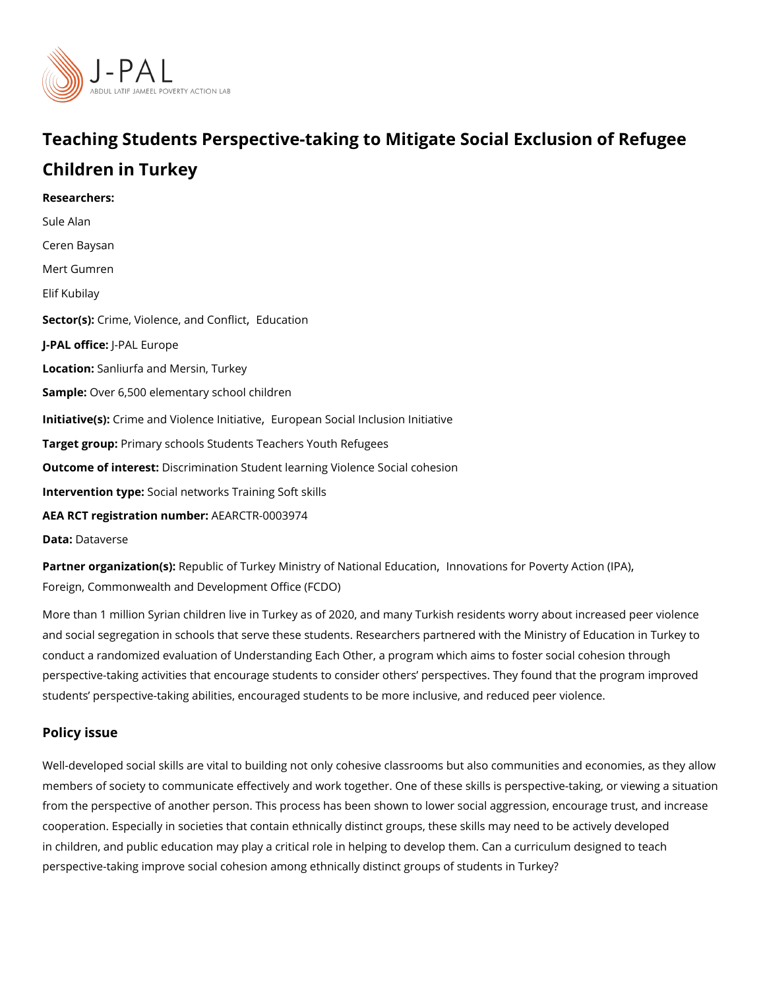# Teaching Students Perspective-taking to Mitigate Social Exc Children in Turkey

Researchers: [Sule A](https://www.povertyactionlab.org/person/alan)lan [Ceren Ba](https://www.povertyactionlab.org/person/baysan)ysan Mert Gumren Elif Kubilay Sector(G) ime[,](https://www.povertyactionlab.org/sector/crime-violence-conflict) Violence, and Concraftlich J-PAL oftli-cReAL Europe Locatio Sanliurfa and Mersin, Turkey SampleOver 6,500 elementary school children Initiative (Cs) me and Violence[,](https://www.povertyactionlab.org/initiative/crime-and-violence-initiative) Elminto preis are Social Inclusion Initiative Target gro@pimary schools Students Teachers Youth Refugees Outcome of inteDessdrimination Student learning Violence Social cohesion Intervention t&peial networks Training Soft skills AEA RCT registration ArEuAnRbCeTR-0003974 Data[Datave](https://dataverse.harvard.edu/dataset.xhtml?persistentId=doi:10.7910/DVN/WUHIUG)rse

Partner organizat $\mathsf{R}$ æmp(usb)tic of Turkey Ministry of Nathonwala EidusaftoonPoverty[,](https://www.povertyactionlab.org/partners/innovations-poverty-action-ipa) Action (IPA) [Foreign, Commonwealth and Developm](https://www.povertyactionlab.org/partners/foreign-commonwealth-and-development-office-fcdo)ent Office (FCDO)

More than 1 million Syrian children live in Turkey as of 2020, and many Turkish residents and social segregation in schools that serve these students. Researchers partnered with t conduct a randomized evaluation of Understanding Each Other, a program which aims to f perspective-taking activities that encourage students to consider others perspectives. Th students perspective-taking abilities, encouraged students to be more inclusive, and red

#### Policy issue

Well-developed social skills are vital to building not only cohesive classrooms but also community members of society to communicate effectively and work together. One of these skills is p from the perspective of another person. This process has been shown to lower social aggi cooperation. Especially in societies that contain ethnically distinct groups, these skills m in children, and public education may play a critical role in helping to develop them. Can perspective-taking improve social cohesion among ethnically distinct groups of students i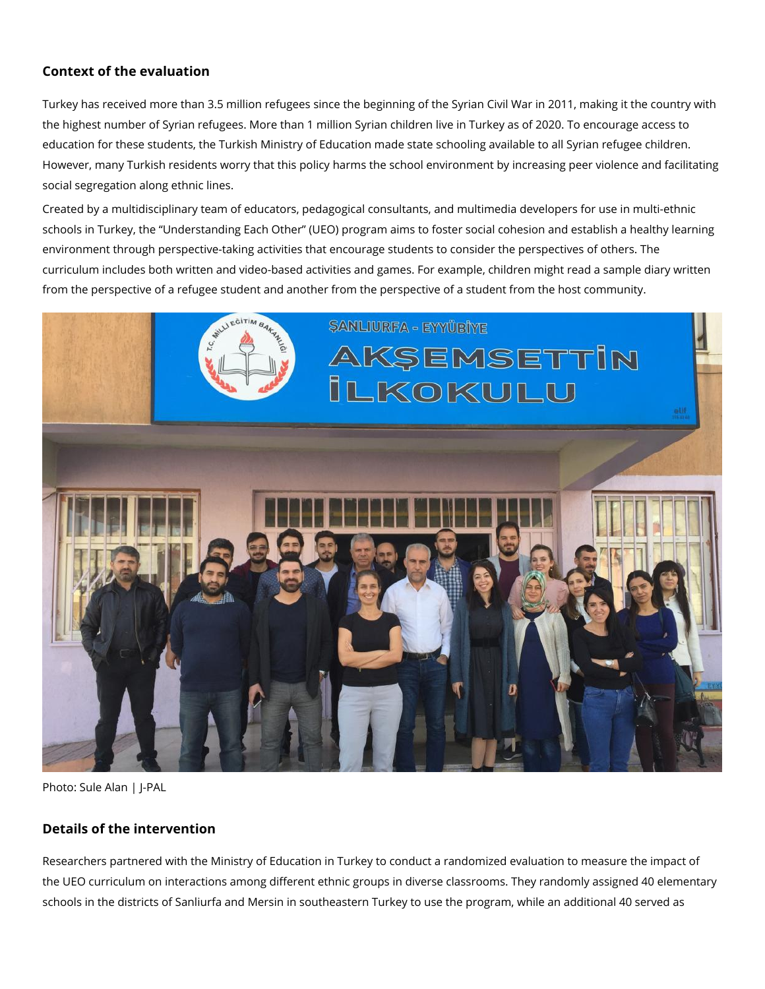## **Context of the evaluation**

Turkey has received more than 3.5 million refugees since the beginning of the Syrian Civil War in 2011, making it the country with the highest number of Syrian refugees. More than 1 million Syrian children live in Turkey as of 2020. To encourage access to education for these students, the Turkish Ministry of Education made state schooling available to all Syrian refugee children. However, many Turkish residents worry that this policy harms the school environment by increasing peer violence and facilitating social segregation along ethnic lines.

Created by a multidisciplinary team of educators, pedagogical consultants, and multimedia developers for use in multi-ethnic schools in Turkey, the "Understanding Each Other" (UEO) program aims to foster social cohesion and establish a healthy learning environment through perspective-taking activities that encourage students to consider the perspectives of others. The curriculum includes both written and video-based activities and games. For example, children might read a sample diary written from the perspective of a refugee student and another from the perspective of a student from the host community.



Photo: Sule Alan | I-PAL

### **Details of the intervention**

Researchers partnered with the Ministry of Education in Turkey to conduct a randomized evaluation to measure the impact of the UEO curriculum on interactions among different ethnic groups in diverse classrooms. They randomly assigned 40 elementary schools in the districts of Sanliurfa and Mersin in southeastern Turkey to use the program, while an additional 40 served as